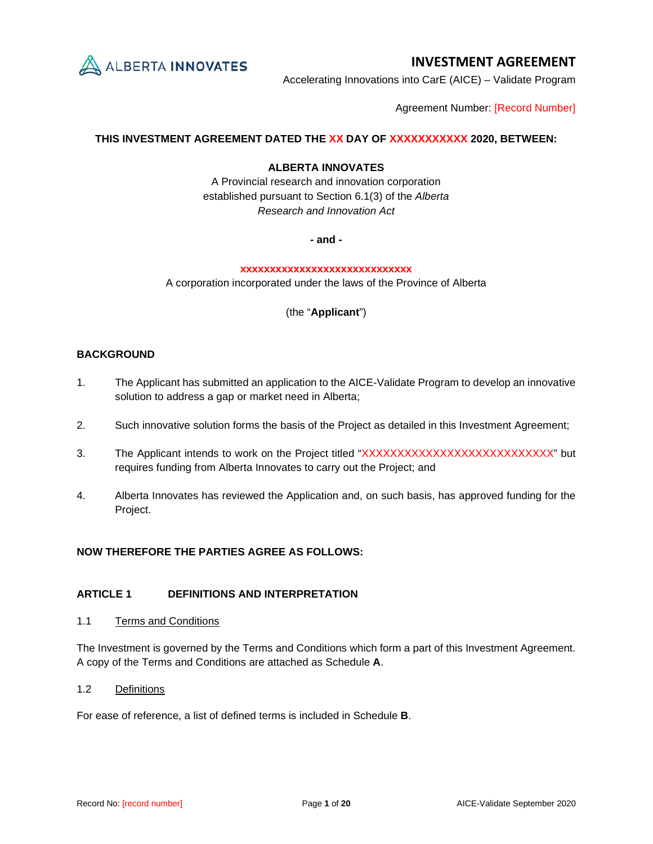

Accelerating Innovations into CarE (AICE) – Validate Program

Agreement Number: [Record Number]

# **THIS INVESTMENT AGREEMENT DATED THE XX DAY OF XXXXXXXXXXX 2020, BETWEEN:**

## **ALBERTA INNOVATES**

A Provincial research and innovation corporation established pursuant to Section 6.1(3) of the *Alberta Research and Innovation Act*

**- and -**

## **xxxxxxxxxxxxxxxxxxxxxxxxxxxxx**

A corporation incorporated under the laws of the Province of Alberta

(the "**Applicant**")

# **BACKGROUND**

- 1. The Applicant has submitted an application to the AICE-Validate Program to develop an innovative solution to address a gap or market need in Alberta;
- 2. Such innovative solution forms the basis of the Project as detailed in this Investment Agreement;
- 3. The Applicant intends to work on the Project titled "XXXXXXXXXXXXXXXXXXXXXXXXXXX" but requires funding from Alberta Innovates to carry out the Project; and
- 4. Alberta Innovates has reviewed the Application and, on such basis, has approved funding for the Project.

## **NOW THEREFORE THE PARTIES AGREE AS FOLLOWS:**

## **ARTICLE 1 DEFINITIONS AND INTERPRETATION**

1.1 Terms and Conditions

The Investment is governed by the Terms and Conditions which form a part of this Investment Agreement. A copy of the Terms and Conditions are attached as Schedule **A**.

1.2 Definitions

For ease of reference, a list of defined terms is included in Schedule **B**.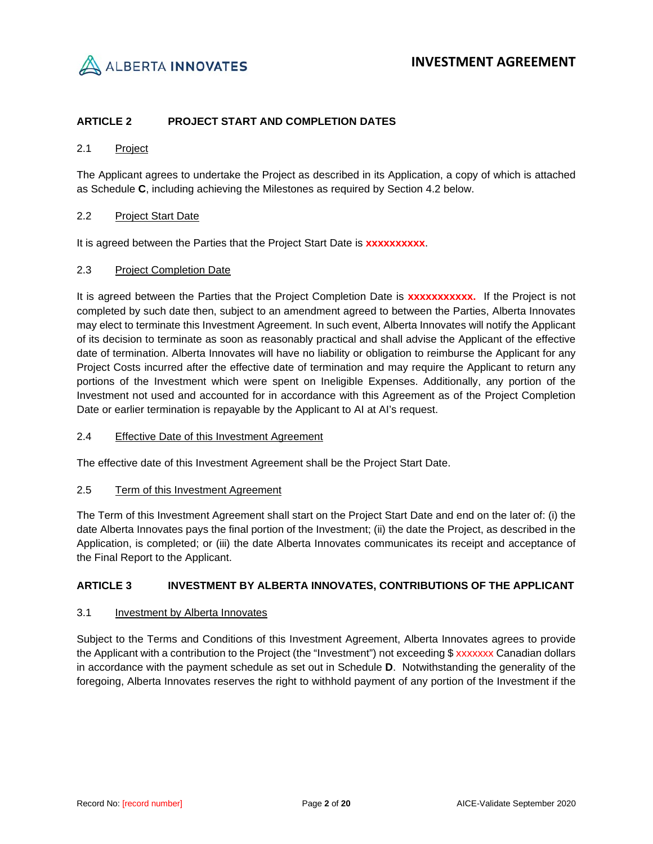

# **ARTICLE 2 PROJECT START AND COMPLETION DATES**

## 2.1 Project

The Applicant agrees to undertake the Project as described in its Application, a copy of which is attached as Schedule **C**, including achieving the Milestones as required by Section [4.2](#page-3-0) below.

## 2.2 Project Start Date

It is agreed between the Parties that the Project Start Date is **xxxxxxxxxx**.

## 2.3 Project Completion Date

It is agreed between the Parties that the Project Completion Date is **xxxxxxxxxxx.** If the Project is not completed by such date then, subject to an amendment agreed to between the Parties, Alberta Innovates may elect to terminate this Investment Agreement. In such event, Alberta Innovates will notify the Applicant of its decision to terminate as soon as reasonably practical and shall advise the Applicant of the effective date of termination. Alberta Innovates will have no liability or obligation to reimburse the Applicant for any Project Costs incurred after the effective date of termination and may require the Applicant to return any portions of the Investment which were spent on Ineligible Expenses. Additionally, any portion of the Investment not used and accounted for in accordance with this Agreement as of the Project Completion Date or earlier termination is repayable by the Applicant to AI at AI's request.

## 2.4 Effective Date of this Investment Agreement

The effective date of this Investment Agreement shall be the Project Start Date.

#### 2.5 Term of this Investment Agreement

The Term of this Investment Agreement shall start on the Project Start Date and end on the later of: (i) the date Alberta Innovates pays the final portion of the Investment; (ii) the date the Project, as described in the Application, is completed; or (iii) the date Alberta Innovates communicates its receipt and acceptance of the Final Report to the Applicant.

## **ARTICLE 3 INVESTMENT BY ALBERTA INNOVATES, CONTRIBUTIONS OF THE APPLICANT**

## 3.1 Investment by Alberta Innovates

Subject to the Terms and Conditions of this Investment Agreement, Alberta Innovates agrees to provide the Applicant with a contribution to the Project (the "Investment") not exceeding \$ xxxxxxx Canadian dollars in accordance with the payment schedule as set out in Schedule **D**. Notwithstanding the generality of the foregoing, Alberta Innovates reserves the right to withhold payment of any portion of the Investment if the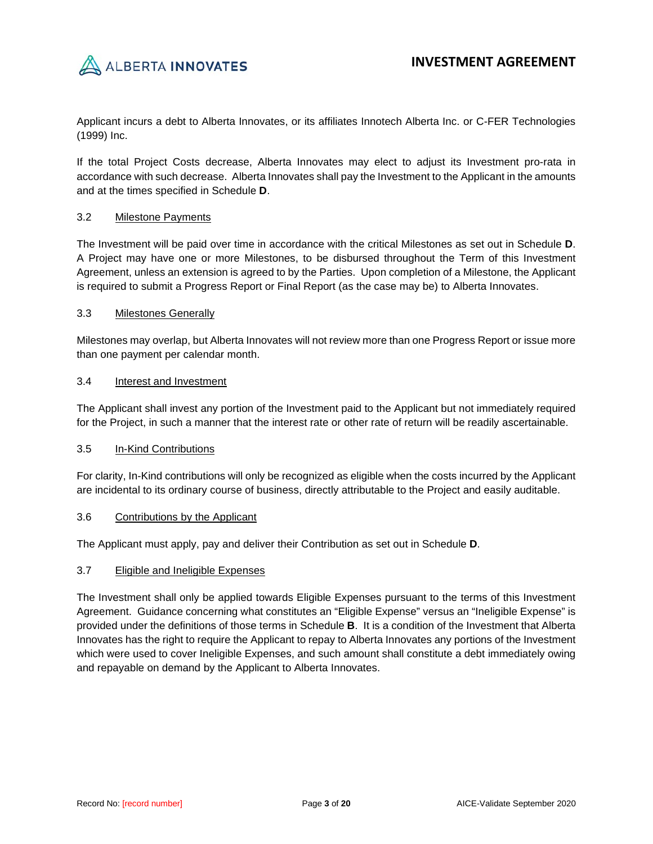

Applicant incurs a debt to Alberta Innovates, or its affiliates Innotech Alberta Inc. or C-FER Technologies (1999) Inc.

If the total Project Costs decrease, Alberta Innovates may elect to adjust its Investment pro-rata in accordance with such decrease. Alberta Innovates shall pay the Investment to the Applicant in the amounts and at the times specified in Schedule **D**.

## 3.2 Milestone Payments

The Investment will be paid over time in accordance with the critical Milestones as set out in Schedule **D**. A Project may have one or more Milestones, to be disbursed throughout the Term of this Investment Agreement, unless an extension is agreed to by the Parties. Upon completion of a Milestone, the Applicant is required to submit a Progress Report or Final Report (as the case may be) to Alberta Innovates.

## 3.3 Milestones Generally

Milestones may overlap, but Alberta Innovates will not review more than one Progress Report or issue more than one payment per calendar month.

## 3.4 Interest and Investment

The Applicant shall invest any portion of the Investment paid to the Applicant but not immediately required for the Project, in such a manner that the interest rate or other rate of return will be readily ascertainable.

## 3.5 In-Kind Contributions

For clarity, In-Kind contributions will only be recognized as eligible when the costs incurred by the Applicant are incidental to its ordinary course of business, directly attributable to the Project and easily auditable.

## 3.6 Contributions by the Applicant

The Applicant must apply, pay and deliver their Contribution as set out in Schedule **D**.

## 3.7 Eligible and Ineligible Expenses

The Investment shall only be applied towards Eligible Expenses pursuant to the terms of this Investment Agreement. Guidance concerning what constitutes an "Eligible Expense" versus an "Ineligible Expense" is provided under the definitions of those terms in Schedule **B**. It is a condition of the Investment that Alberta Innovates has the right to require the Applicant to repay to Alberta Innovates any portions of the Investment which were used to cover Ineligible Expenses, and such amount shall constitute a debt immediately owing and repayable on demand by the Applicant to Alberta Innovates.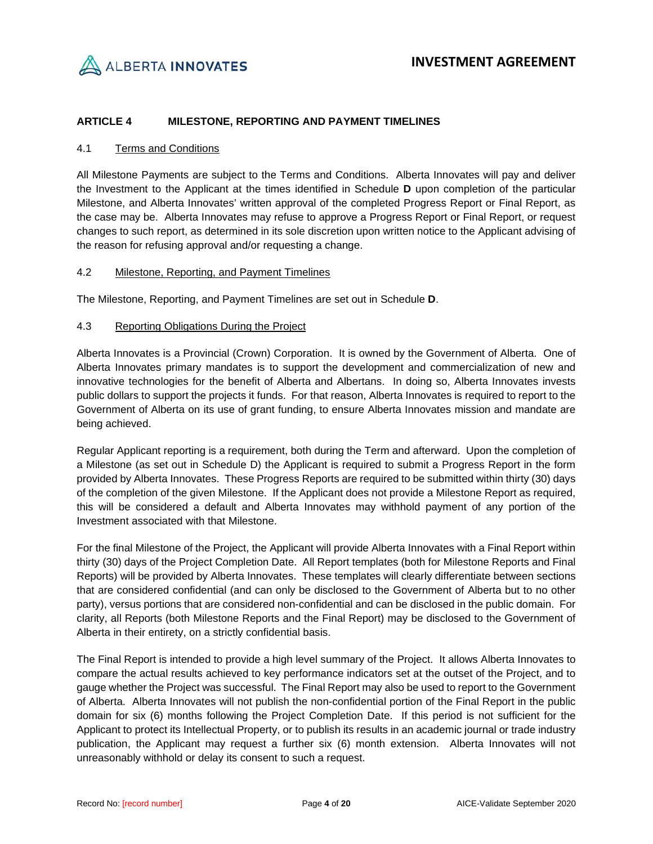

# **ARTICLE 4 MILESTONE, REPORTING AND PAYMENT TIMELINES**

## 4.1 Terms and Conditions

All Milestone Payments are subject to the Terms and Conditions. Alberta Innovates will pay and deliver the Investment to the Applicant at the times identified in Schedule **D** upon completion of the particular Milestone, and Alberta Innovates' written approval of the completed Progress Report or Final Report, as the case may be. Alberta Innovates may refuse to approve a Progress Report or Final Report, or request changes to such report, as determined in its sole discretion upon written notice to the Applicant advising of the reason for refusing approval and/or requesting a change.

## <span id="page-3-0"></span>4.2 Milestone, Reporting, and Payment Timelines

The Milestone, Reporting, and Payment Timelines are set out in Schedule **D**.

## 4.3 Reporting Obligations During the Project

Alberta Innovates is a Provincial (Crown) Corporation. It is owned by the Government of Alberta. One of Alberta Innovates primary mandates is to support the development and commercialization of new and innovative technologies for the benefit of Alberta and Albertans. In doing so, Alberta Innovates invests public dollars to support the projects it funds. For that reason, Alberta Innovates is required to report to the Government of Alberta on its use of grant funding, to ensure Alberta Innovates mission and mandate are being achieved.

Regular Applicant reporting is a requirement, both during the Term and afterward. Upon the completion of a Milestone (as set out in Schedule D) the Applicant is required to submit a Progress Report in the form provided by Alberta Innovates. These Progress Reports are required to be submitted within thirty (30) days of the completion of the given Milestone. If the Applicant does not provide a Milestone Report as required, this will be considered a default and Alberta Innovates may withhold payment of any portion of the Investment associated with that Milestone.

For the final Milestone of the Project, the Applicant will provide Alberta Innovates with a Final Report within thirty (30) days of the Project Completion Date. All Report templates (both for Milestone Reports and Final Reports) will be provided by Alberta Innovates. These templates will clearly differentiate between sections that are considered confidential (and can only be disclosed to the Government of Alberta but to no other party), versus portions that are considered non-confidential and can be disclosed in the public domain. For clarity, all Reports (both Milestone Reports and the Final Report) may be disclosed to the Government of Alberta in their entirety, on a strictly confidential basis.

The Final Report is intended to provide a high level summary of the Project. It allows Alberta Innovates to compare the actual results achieved to key performance indicators set at the outset of the Project, and to gauge whether the Project was successful. The Final Report may also be used to report to the Government of Alberta. Alberta Innovates will not publish the non-confidential portion of the Final Report in the public domain for six (6) months following the Project Completion Date. If this period is not sufficient for the Applicant to protect its Intellectual Property, or to publish its results in an academic journal or trade industry publication, the Applicant may request a further six (6) month extension. Alberta Innovates will not unreasonably withhold or delay its consent to such a request.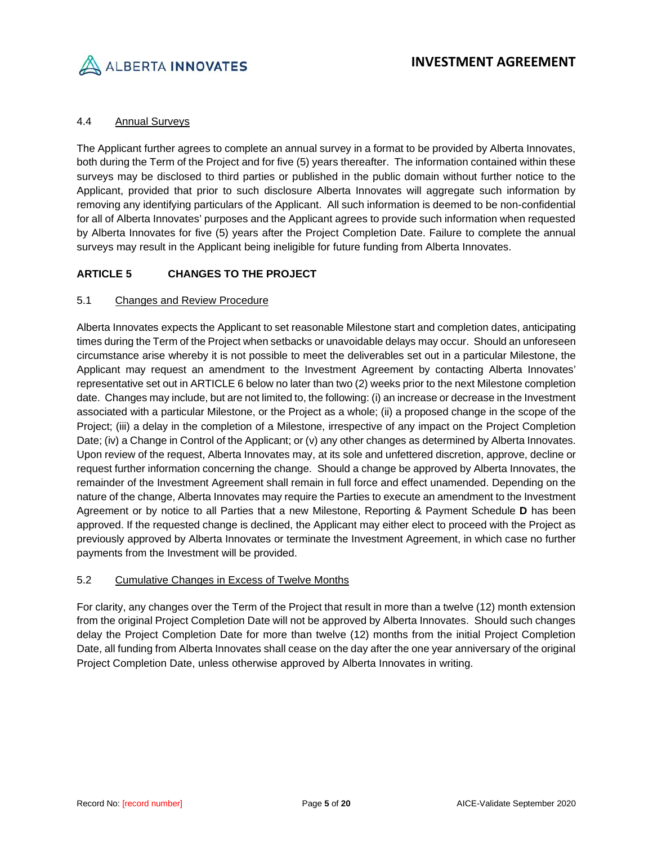

# 4.4 Annual Surveys

The Applicant further agrees to complete an annual survey in a format to be provided by Alberta Innovates, both during the Term of the Project and for five (5) years thereafter. The information contained within these surveys may be disclosed to third parties or published in the public domain without further notice to the Applicant, provided that prior to such disclosure Alberta Innovates will aggregate such information by removing any identifying particulars of the Applicant. All such information is deemed to be non-confidential for all of Alberta Innovates' purposes and the Applicant agrees to provide such information when requested by Alberta Innovates for five (5) years after the Project Completion Date. Failure to complete the annual surveys may result in the Applicant being ineligible for future funding from Alberta Innovates.

# **ARTICLE 5 CHANGES TO THE PROJECT**

# 5.1 Changes and Review Procedure

Alberta Innovates expects the Applicant to set reasonable Milestone start and completion dates, anticipating times during the Term of the Project when setbacks or unavoidable delays may occur. Should an unforeseen circumstance arise whereby it is not possible to meet the deliverables set out in a particular Milestone, the Applicant may request an amendment to the Investment Agreement by contacting Alberta Innovates' representative set out i[n ARTICLE 6](#page-5-0) below no later than two (2) weeks prior to the next Milestone completion date. Changes may include, but are not limited to, the following: (i) an increase or decrease in the Investment associated with a particular Milestone, or the Project as a whole; (ii) a proposed change in the scope of the Project; (iii) a delay in the completion of a Milestone, irrespective of any impact on the Project Completion Date; (iv) a Change in Control of the Applicant; or (v) any other changes as determined by Alberta Innovates. Upon review of the request, Alberta Innovates may, at its sole and unfettered discretion, approve, decline or request further information concerning the change. Should a change be approved by Alberta Innovates, the remainder of the Investment Agreement shall remain in full force and effect unamended. Depending on the nature of the change, Alberta Innovates may require the Parties to execute an amendment to the Investment Agreement or by notice to all Parties that a new Milestone, Reporting & Payment Schedule **D** has been approved. If the requested change is declined, the Applicant may either elect to proceed with the Project as previously approved by Alberta Innovates or terminate the Investment Agreement, in which case no further payments from the Investment will be provided.

## 5.2 Cumulative Changes in Excess of Twelve Months

For clarity, any changes over the Term of the Project that result in more than a twelve (12) month extension from the original Project Completion Date will not be approved by Alberta Innovates. Should such changes delay the Project Completion Date for more than twelve (12) months from the initial Project Completion Date, all funding from Alberta Innovates shall cease on the day after the one year anniversary of the original Project Completion Date, unless otherwise approved by Alberta Innovates in writing.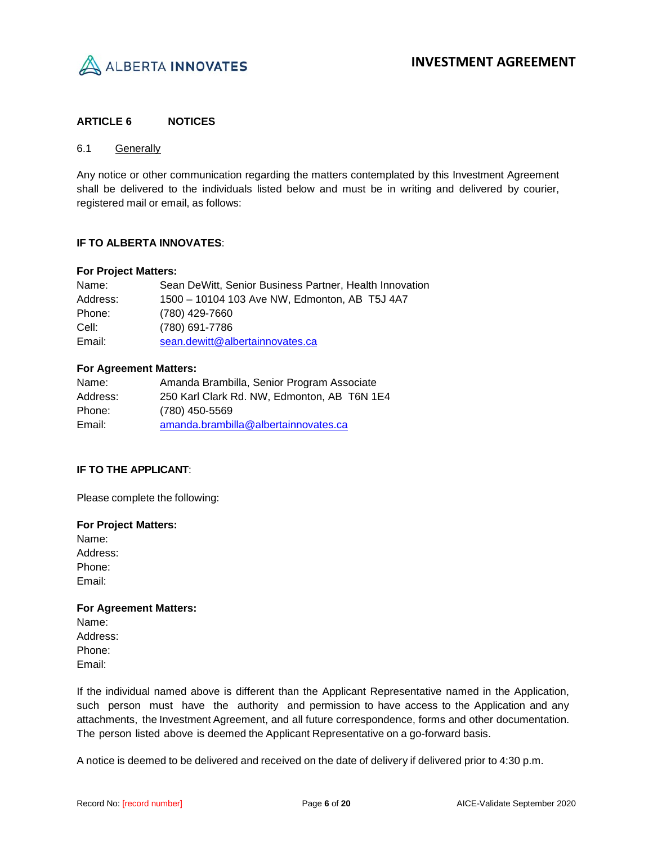

## <span id="page-5-0"></span>**ARTICLE 6 NOTICES**

## 6.1 Generally

Any notice or other communication regarding the matters contemplated by this Investment Agreement shall be delivered to the individuals listed below and must be in writing and delivered by courier, registered mail or email, as follows:

## **IF TO ALBERTA INNOVATES**:

#### **For Project Matters:**

| Name:    | Sean DeWitt, Senior Business Partner, Health Innovation |
|----------|---------------------------------------------------------|
| Address: | 1500 - 10104 103 Ave NW, Edmonton, AB T5J 4A7           |
| Phone:   | (780) 429-7660                                          |
| Cell:    | (780) 691-7786                                          |
| Email:   | sean.dewitt@albertainnovates.ca                         |

## **For Agreement Matters:**

| Name:    | Amanda Brambilla, Senior Program Associate  |
|----------|---------------------------------------------|
| Address: | 250 Karl Clark Rd. NW, Edmonton, AB T6N 1E4 |
| Phone:   | (780) 450-5569                              |
| Email:   | amanda.brambilla@albertainnovates.ca        |

## **IF TO THE APPLICANT**:

Please complete the following:

## **For Project Matters:** Name:

Address: Phone: Email:

## **For Agreement Matters:**

Name: Address: Phone: Email:

If the individual named above is different than the Applicant Representative named in the Application, such person must have the authority and permission to have access to the Application and any attachments, the Investment Agreement, and all future correspondence, forms and other documentation. The person listed above is deemed the Applicant Representative on a go-forward basis.

A notice is deemed to be delivered and received on the date of delivery if delivered prior to 4:30 p.m.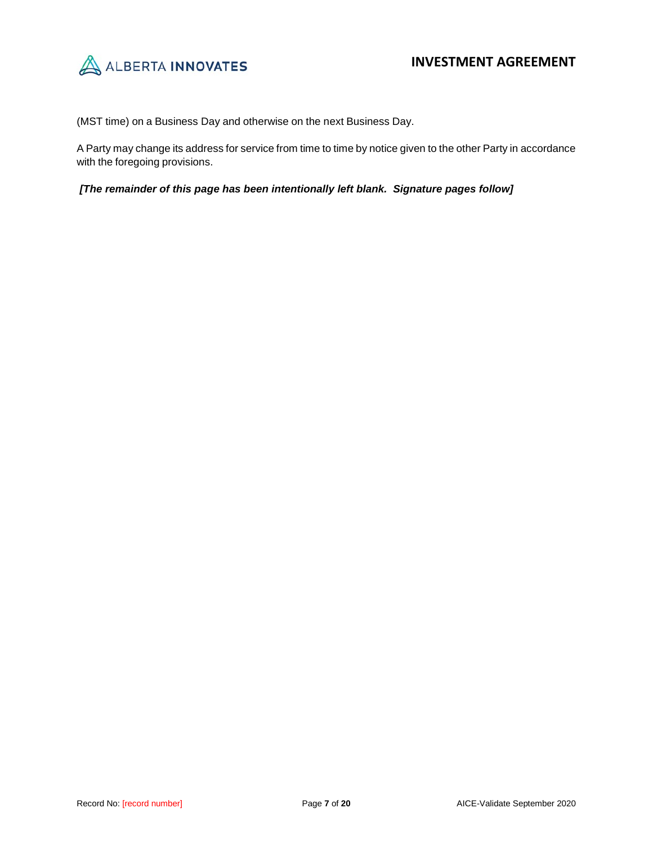

(MST time) on a Business Day and otherwise on the next Business Day.

A Party may change its address for service from time to time by notice given to the other Party in accordance with the foregoing provisions.

*[The remainder of this page has been intentionally left blank. Signature pages follow]*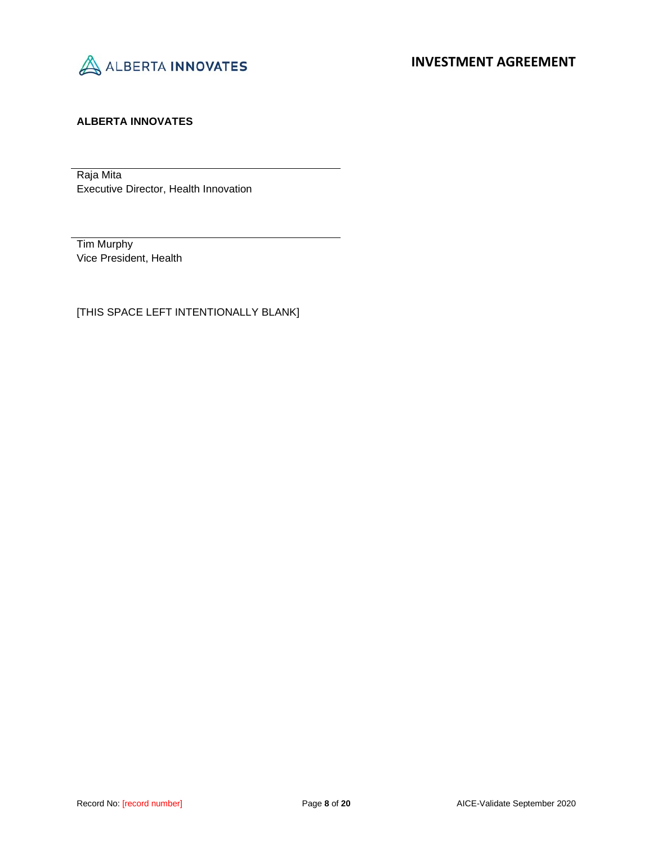

# **ALBERTA INNOVATES**

Raja Mita Executive Director, Health Innovation

Tim Murphy Vice President, Health

[THIS SPACE LEFT INTENTIONALLY BLANK]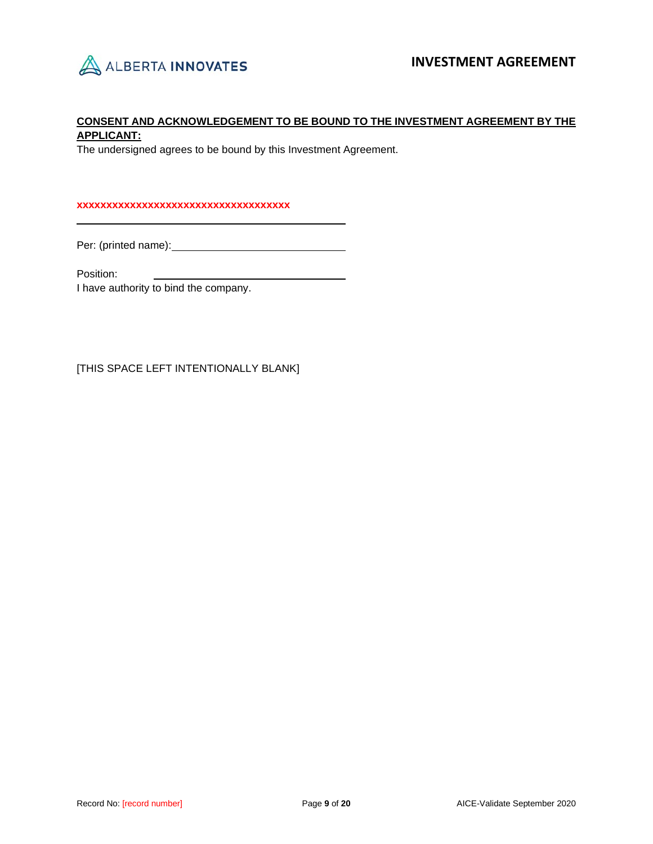

# **CONSENT AND ACKNOWLEDGEMENT TO BE BOUND TO THE INVESTMENT AGREEMENT BY THE APPLICANT:**

The undersigned agrees to be bound by this Investment Agreement.

### **xxxxxxxxxxxxxxxxxxxxxxxxxxxxxxxxxxxx**

Per: (printed name):

Position:

I have authority to bind the company.

[THIS SPACE LEFT INTENTIONALLY BLANK]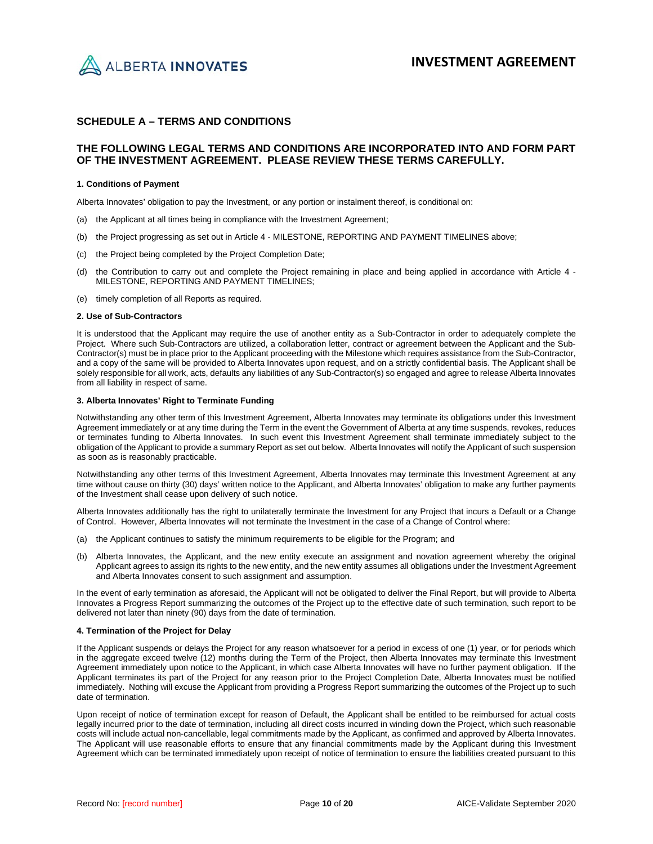

## **SCHEDULE A – TERMS AND CONDITIONS**

#### **THE FOLLOWING LEGAL TERMS AND CONDITIONS ARE INCORPORATED INTO AND FORM PART OF THE INVESTMENT AGREEMENT. PLEASE REVIEW THESE TERMS CAREFULLY.**

#### **1. Conditions of Payment**

Alberta Innovates' obligation to pay the Investment, or any portion or instalment thereof, is conditional on:

- (a) the Applicant at all times being in compliance with the Investment Agreement;
- (b) the Project progressing as set out in Article 4 MILESTONE, REPORTING AND PAYMENT TIMELINES above;
- (c) the Project being completed by the Project Completion Date;
- (d) the Contribution to carry out and complete the Project remaining in place and being applied in accordance with Article 4 MILESTONE, REPORTING AND PAYMENT TIMELINES;
- (e) timely completion of all Reports as required.

#### **2. Use of Sub-Contractors**

It is understood that the Applicant may require the use of another entity as a Sub-Contractor in order to adequately complete the Project. Where such Sub-Contractors are utilized, a collaboration letter, contract or agreement between the Applicant and the Sub-Contractor(s) must be in place prior to the Applicant proceeding with the Milestone which requires assistance from the Sub-Contractor, and a copy of the same will be provided to Alberta Innovates upon request, and on a strictly confidential basis. The Applicant shall be solely responsible for all work, acts, defaults any liabilities of any Sub-Contractor(s) so engaged and agree to release Alberta Innovates from all liability in respect of same.

#### **3. Alberta Innovates' Right to Terminate Funding**

Notwithstanding any other term of this Investment Agreement, Alberta Innovates may terminate its obligations under this Investment Agreement immediately or at any time during the Term in the event the Government of Alberta at any time suspends, revokes, reduces or terminates funding to Alberta Innovates. In such event this Investment Agreement shall terminate immediately subject to the obligation of the Applicant to provide a summary Report as set out below. Alberta Innovates will notify the Applicant of such suspension as soon as is reasonably practicable.

Notwithstanding any other terms of this Investment Agreement, Alberta Innovates may terminate this Investment Agreement at any time without cause on thirty (30) days' written notice to the Applicant, and Alberta Innovates' obligation to make any further payments of the Investment shall cease upon delivery of such notice.

Alberta Innovates additionally has the right to unilaterally terminate the Investment for any Project that incurs a Default or a Change of Control. However, Alberta Innovates will not terminate the Investment in the case of a Change of Control where:

- (a) the Applicant continues to satisfy the minimum requirements to be eligible for the Program; and
- (b) Alberta Innovates, the Applicant, and the new entity execute an assignment and novation agreement whereby the original Applicant agrees to assign its rights to the new entity, and the new entity assumes all obligations under the Investment Agreement and Alberta Innovates consent to such assignment and assumption.

In the event of early termination as aforesaid, the Applicant will not be obligated to deliver the Final Report, but will provide to Alberta Innovates a Progress Report summarizing the outcomes of the Project up to the effective date of such termination, such report to be delivered not later than ninety (90) days from the date of termination.

#### **4. Termination of the Project for Delay**

If the Applicant suspends or delays the Project for any reason whatsoever for a period in excess of one (1) year, or for periods which in the aggregate exceed twelve (12) months during the Term of the Project, then Alberta Innovates may terminate this Investment Agreement immediately upon notice to the Applicant, in which case Alberta Innovates will have no further payment obligation. If the Applicant terminates its part of the Project for any reason prior to the Project Completion Date, Alberta Innovates must be notified immediately. Nothing will excuse the Applicant from providing a Progress Report summarizing the outcomes of the Project up to such date of termination.

Upon receipt of notice of termination except for reason of Default, the Applicant shall be entitled to be reimbursed for actual costs legally incurred prior to the date of termination, including all direct costs incurred in winding down the Project, which such reasonable costs will include actual non-cancellable, legal commitments made by the Applicant, as confirmed and approved by Alberta Innovates. The Applicant will use reasonable efforts to ensure that any financial commitments made by the Applicant during this Investment Agreement which can be terminated immediately upon receipt of notice of termination to ensure the liabilities created pursuant to this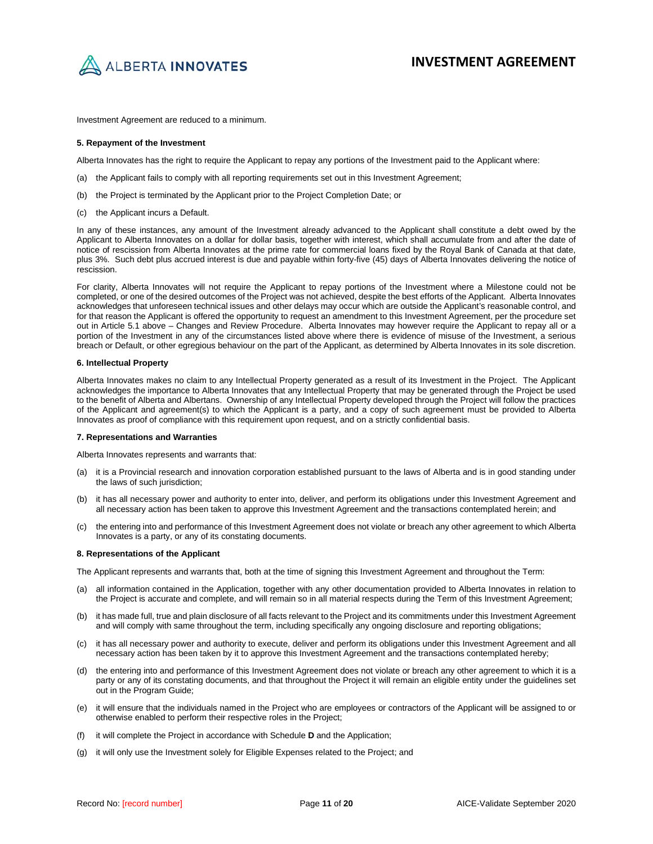

Investment Agreement are reduced to a minimum.

#### **5. Repayment of the Investment**

Alberta Innovates has the right to require the Applicant to repay any portions of the Investment paid to the Applicant where:

- (a) the Applicant fails to comply with all reporting requirements set out in this Investment Agreement;
- (b) the Project is terminated by the Applicant prior to the Project Completion Date; or
- (c) the Applicant incurs a Default.

In any of these instances, any amount of the Investment already advanced to the Applicant shall constitute a debt owed by the Applicant to Alberta Innovates on a dollar for dollar basis, together with interest, which shall accumulate from and after the date of notice of rescission from Alberta Innovates at the prime rate for commercial loans fixed by the Royal Bank of Canada at that date, plus 3%. Such debt plus accrued interest is due and payable within forty-five (45) days of Alberta Innovates delivering the notice of rescission.

For clarity, Alberta Innovates will not require the Applicant to repay portions of the Investment where a Milestone could not be completed, or one of the desired outcomes of the Project was not achieved, despite the best efforts of the Applicant. Alberta Innovates acknowledges that unforeseen technical issues and other delays may occur which are outside the Applicant's reasonable control, and for that reason the Applicant is offered the opportunity to request an amendment to this Investment Agreement, per the procedure set out in Article 5.1 above – Changes and Review Procedure. Alberta Innovates may however require the Applicant to repay all or a portion of the Investment in any of the circumstances listed above where there is evidence of misuse of the Investment, a serious breach or Default, or other egregious behaviour on the part of the Applicant, as determined by Alberta Innovates in its sole discretion.

#### **6. Intellectual Property**

Alberta Innovates makes no claim to any Intellectual Property generated as a result of its Investment in the Project. The Applicant acknowledges the importance to Alberta Innovates that any Intellectual Property that may be generated through the Project be used to the benefit of Alberta and Albertans. Ownership of any Intellectual Property developed through the Project will follow the practices of the Applicant and agreement(s) to which the Applicant is a party, and a copy of such agreement must be provided to Alberta Innovates as proof of compliance with this requirement upon request, and on a strictly confidential basis.

#### **7. Representations and Warranties**

Alberta Innovates represents and warrants that:

- (a) it is a Provincial research and innovation corporation established pursuant to the laws of Alberta and is in good standing under the laws of such jurisdiction;
- (b) it has all necessary power and authority to enter into, deliver, and perform its obligations under this Investment Agreement and all necessary action has been taken to approve this Investment Agreement and the transactions contemplated herein; and
- (c) the entering into and performance of this Investment Agreement does not violate or breach any other agreement to which Alberta Innovates is a party, or any of its constating documents.

#### **8. Representations of the Applicant**

The Applicant represents and warrants that, both at the time of signing this Investment Agreement and throughout the Term:

- (a) all information contained in the Application, together with any other documentation provided to Alberta Innovates in relation to the Project is accurate and complete, and will remain so in all material respects during the Term of this Investment Agreement;
- (b) it has made full, true and plain disclosure of all facts relevant to the Project and its commitments under this Investment Agreement and will comply with same throughout the term, including specifically any ongoing disclosure and reporting obligations;
- (c) it has all necessary power and authority to execute, deliver and perform its obligations under this Investment Agreement and all necessary action has been taken by it to approve this Investment Agreement and the transactions contemplated hereby;
- (d) the entering into and performance of this Investment Agreement does not violate or breach any other agreement to which it is a party or any of its constating documents, and that throughout the Project it will remain an eligible entity under the guidelines set out in the Program Guide;
- (e) it will ensure that the individuals named in the Project who are employees or contractors of the Applicant will be assigned to or otherwise enabled to perform their respective roles in the Project;
- (f) it will complete the Project in accordance with Schedule **D** and the Application;
- (g) it will only use the Investment solely for Eligible Expenses related to the Project; and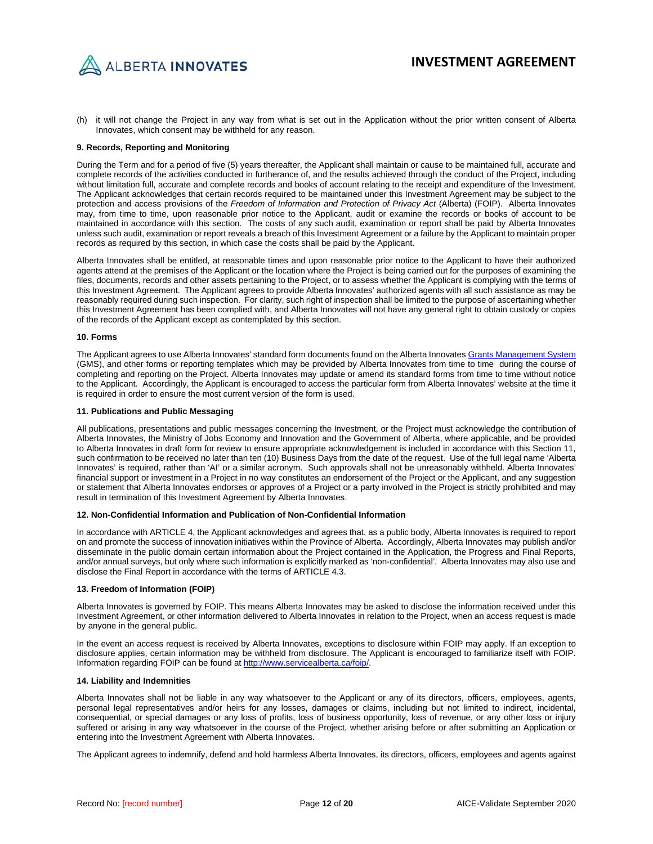

(h) it will not change the Project in any way from what is set out in the Application without the prior written consent of Alberta Innovates, which consent may be withheld for any reason.

#### **9. Records, Reporting and Monitoring**

During the Term and for a period of five (5) years thereafter, the Applicant shall maintain or cause to be maintained full, accurate and complete records of the activities conducted in furtherance of, and the results achieved through the conduct of the Project, including without limitation full, accurate and complete records and books of account relating to the receipt and expenditure of the Investment. The Applicant acknowledges that certain records required to be maintained under this Investment Agreement may be subject to the protection and access provisions of the *Freedom of Information and Protection of Privacy Act* (Alberta) (FOIP). Alberta Innovates may, from time to time, upon reasonable prior notice to the Applicant, audit or examine the records or books of account to be maintained in accordance with this section. The costs of any such audit, examination or report shall be paid by Alberta Innovates unless such audit, examination or report reveals a breach of this Investment Agreement or a failure by the Applicant to maintain proper records as required by this section, in which case the costs shall be paid by the Applicant.

Alberta Innovates shall be entitled, at reasonable times and upon reasonable prior notice to the Applicant to have their authorized agents attend at the premises of the Applicant or the location where the Project is being carried out for the purposes of examining the files, documents, records and other assets pertaining to the Project, or to assess whether the Applicant is complying with the terms of this Investment Agreement. The Applicant agrees to provide Alberta Innovates' authorized agents with all such assistance as may be reasonably required during such inspection. For clarity, such right of inspection shall be limited to the purpose of ascertaining whether this Investment Agreement has been complied with, and Alberta Innovates will not have any general right to obtain custody or copies of the records of the Applicant except as contemplated by this section.

#### **10. Forms**

The Applicant agrees to use Alberta Innovates' standard form documents found on the Alberta Innovate[s Grants Management System](https://albertainnovates.smartsimple.ca/s_Login.jsp) (GMS), and other forms or reporting templates which may be provided by Alberta Innovates from time to time during the course of completing and reporting on the Project. Alberta Innovates may update or amend its standard forms from time to time without notice to the Applicant. Accordingly, the Applicant is encouraged to access the particular form from Alberta Innovates' website at the time it is required in order to ensure the most current version of the form is used.

#### **11. Publications and Public Messaging**

All publications, presentations and public messages concerning the Investment, or the Project must acknowledge the contribution of Alberta Innovates, the Ministry of Jobs Economy and Innovation and the Government of Alberta, where applicable, and be provided to Alberta Innovates in draft form for review to ensure appropriate acknowledgement is included in accordance with this Section 11, such confirmation to be received no later than ten (10) Business Days from the date of the request. Use of the full legal name 'Alberta Innovates' is required, rather than 'AI' or a similar acronym. Such approvals shall not be unreasonably withheld. Alberta Innovates' financial support or investment in a Project in no way constitutes an endorsement of the Project or the Applicant, and any suggestion or statement that Alberta Innovates endorses or approves of a Project or a party involved in the Project is strictly prohibited and may result in termination of this Investment Agreement by Alberta Innovates.

#### **12. Non-Confidential Information and Publication of Non-Confidential Information**

In accordance with ARTICLE 4, the Applicant acknowledges and agrees that, as a public body, Alberta Innovates is required to report on and promote the success of innovation initiatives within the Province of Alberta. Accordingly, Alberta Innovates may publish and/or disseminate in the public domain certain information about the Project contained in the Application, the Progress and Final Reports, and/or annual surveys, but only where such information is explicitly marked as 'non-confidential'. Alberta Innovates may also use and disclose the Final Report in accordance with the terms of ARTICLE 4.3.

#### **13. Freedom of Information (FOIP)**

Alberta Innovates is governed by FOIP. This means Alberta Innovates may be asked to disclose the information received under this Investment Agreement, or other information delivered to Alberta Innovates in relation to the Project, when an access request is made by anyone in the general public.

In the event an access request is received by Alberta Innovates, exceptions to disclosure within FOIP may apply. If an exception to disclosure applies, certain information may be withheld from disclosure. The Applicant is encouraged to familiarize itself with FOIP. Information regarding FOIP can be found a[t http://www.servicealberta.ca/foip/.](http://www.servicealberta.ca/foip/)

#### **14. Liability and Indemnities**

Alberta Innovates shall not be liable in any way whatsoever to the Applicant or any of its directors, officers, employees, agents, personal legal representatives and/or heirs for any losses, damages or claims, including but not limited to indirect, incidental, consequential, or special damages or any loss of profits, loss of business opportunity, loss of revenue, or any other loss or injury suffered or arising in any way whatsoever in the course of the Project, whether arising before or after submitting an Application or entering into the Investment Agreement with Alberta Innovates.

The Applicant agrees to indemnify, defend and hold harmless Alberta Innovates, its directors, officers, employees and agents against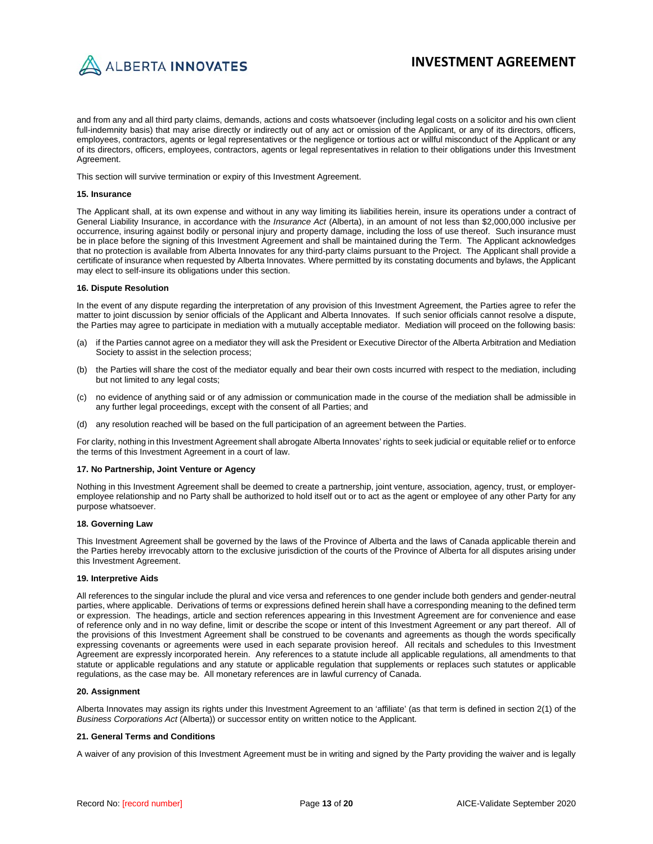

and from any and all third party claims, demands, actions and costs whatsoever (including legal costs on a solicitor and his own client full-indemnity basis) that may arise directly or indirectly out of any act or omission of the Applicant, or any of its directors, officers, employees, contractors, agents or legal representatives or the negligence or tortious act or willful misconduct of the Applicant or any of its directors, officers, employees, contractors, agents or legal representatives in relation to their obligations under this Investment Agreement.

This section will survive termination or expiry of this Investment Agreement.

#### **15. Insurance**

The Applicant shall, at its own expense and without in any way limiting its liabilities herein, insure its operations under a contract of General Liability Insurance, in accordance with the *Insurance Act* (Alberta), in an amount of not less than \$2,000,000 inclusive per occurrence, insuring against bodily or personal injury and property damage, including the loss of use thereof. Such insurance must be in place before the signing of this Investment Agreement and shall be maintained during the Term. The Applicant acknowledges that no protection is available from Alberta Innovates for any third-party claims pursuant to the Project. The Applicant shall provide a certificate of insurance when requested by Alberta Innovates. Where permitted by its constating documents and bylaws, the Applicant may elect to self-insure its obligations under this section.

#### **16. Dispute Resolution**

In the event of any dispute regarding the interpretation of any provision of this Investment Agreement, the Parties agree to refer the matter to joint discussion by senior officials of the Applicant and Alberta Innovates. If such senior officials cannot resolve a dispute, the Parties may agree to participate in mediation with a mutually acceptable mediator. Mediation will proceed on the following basis:

- (a) if the Parties cannot agree on a mediator they will ask the President or Executive Director of the Alberta Arbitration and Mediation Society to assist in the selection process;
- (b) the Parties will share the cost of the mediator equally and bear their own costs incurred with respect to the mediation, including but not limited to any legal costs;
- (c) no evidence of anything said or of any admission or communication made in the course of the mediation shall be admissible in any further legal proceedings, except with the consent of all Parties; and
- (d) any resolution reached will be based on the full participation of an agreement between the Parties.

For clarity, nothing in this Investment Agreement shall abrogate Alberta Innovates' rights to seek judicial or equitable relief or to enforce the terms of this Investment Agreement in a court of law.

#### **17. No Partnership, Joint Venture or Agency**

Nothing in this Investment Agreement shall be deemed to create a partnership, joint venture, association, agency, trust, or employeremployee relationship and no Party shall be authorized to hold itself out or to act as the agent or employee of any other Party for any purpose whatsoever.

#### **18. Governing Law**

This Investment Agreement shall be governed by the laws of the Province of Alberta and the laws of Canada applicable therein and the Parties hereby irrevocably attorn to the exclusive jurisdiction of the courts of the Province of Alberta for all disputes arising under this Investment Agreement.

#### **19. Interpretive Aids**

All references to the singular include the plural and vice versa and references to one gender include both genders and gender-neutral parties, where applicable. Derivations of terms or expressions defined herein shall have a corresponding meaning to the defined term or expression. The headings, article and section references appearing in this Investment Agreement are for convenience and ease of reference only and in no way define, limit or describe the scope or intent of this Investment Agreement or any part thereof. All of the provisions of this Investment Agreement shall be construed to be covenants and agreements as though the words specifically expressing covenants or agreements were used in each separate provision hereof. All recitals and schedules to this Investment Agreement are expressly incorporated herein. Any references to a statute include all applicable regulations, all amendments to that statute or applicable regulations and any statute or applicable regulation that supplements or replaces such statutes or applicable regulations, as the case may be. All monetary references are in lawful currency of Canada.

#### **20. Assignment**

Alberta Innovates may assign its rights under this Investment Agreement to an 'affiliate' (as that term is defined in section 2(1) of the *Business Corporations Act* (Alberta)) or successor entity on written notice to the Applicant.

#### **21. General Terms and Conditions**

A waiver of any provision of this Investment Agreement must be in writing and signed by the Party providing the waiver and is legally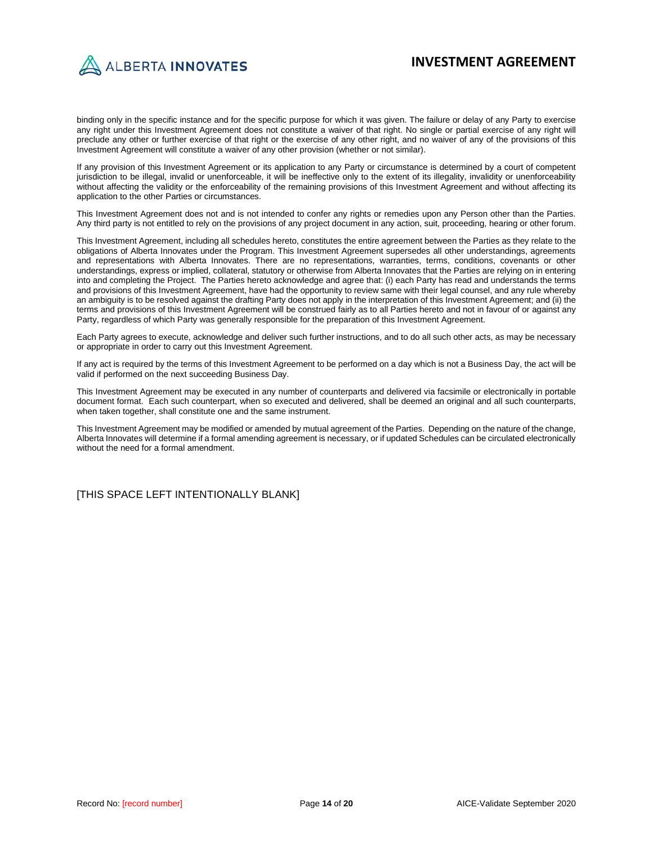

binding only in the specific instance and for the specific purpose for which it was given. The failure or delay of any Party to exercise any right under this Investment Agreement does not constitute a waiver of that right. No single or partial exercise of any right will preclude any other or further exercise of that right or the exercise of any other right, and no waiver of any of the provisions of this Investment Agreement will constitute a waiver of any other provision (whether or not similar).

If any provision of this Investment Agreement or its application to any Party or circumstance is determined by a court of competent jurisdiction to be illegal, invalid or unenforceable, it will be ineffective only to the extent of its illegality, invalidity or unenforceability without affecting the validity or the enforceability of the remaining provisions of this Investment Agreement and without affecting its application to the other Parties or circumstances.

This Investment Agreement does not and is not intended to confer any rights or remedies upon any Person other than the Parties. Any third party is not entitled to rely on the provisions of any project document in any action, suit, proceeding, hearing or other forum.

This Investment Agreement, including all schedules hereto, constitutes the entire agreement between the Parties as they relate to the obligations of Alberta Innovates under the Program. This Investment Agreement supersedes all other understandings, agreements and representations with Alberta Innovates. There are no representations, warranties, terms, conditions, covenants or other understandings, express or implied, collateral, statutory or otherwise from Alberta Innovates that the Parties are relying on in entering into and completing the Project. The Parties hereto acknowledge and agree that: (i) each Party has read and understands the terms and provisions of this Investment Agreement, have had the opportunity to review same with their legal counsel, and any rule whereby an ambiguity is to be resolved against the drafting Party does not apply in the interpretation of this Investment Agreement; and (ii) the terms and provisions of this Investment Agreement will be construed fairly as to all Parties hereto and not in favour of or against any Party, regardless of which Party was generally responsible for the preparation of this Investment Agreement.

Each Party agrees to execute, acknowledge and deliver such further instructions, and to do all such other acts, as may be necessary or appropriate in order to carry out this Investment Agreement.

If any act is required by the terms of this Investment Agreement to be performed on a day which is not a Business Day, the act will be valid if performed on the next succeeding Business Day.

This Investment Agreement may be executed in any number of counterparts and delivered via facsimile or electronically in portable document format. Each such counterpart, when so executed and delivered, shall be deemed an original and all such counterparts, when taken together, shall constitute one and the same instrument.

This Investment Agreement may be modified or amended by mutual agreement of the Parties. Depending on the nature of the change, Alberta Innovates will determine if a formal amending agreement is necessary, or if updated Schedules can be circulated electronically without the need for a formal amendment.

[THIS SPACE LEFT INTENTIONALLY BLANK]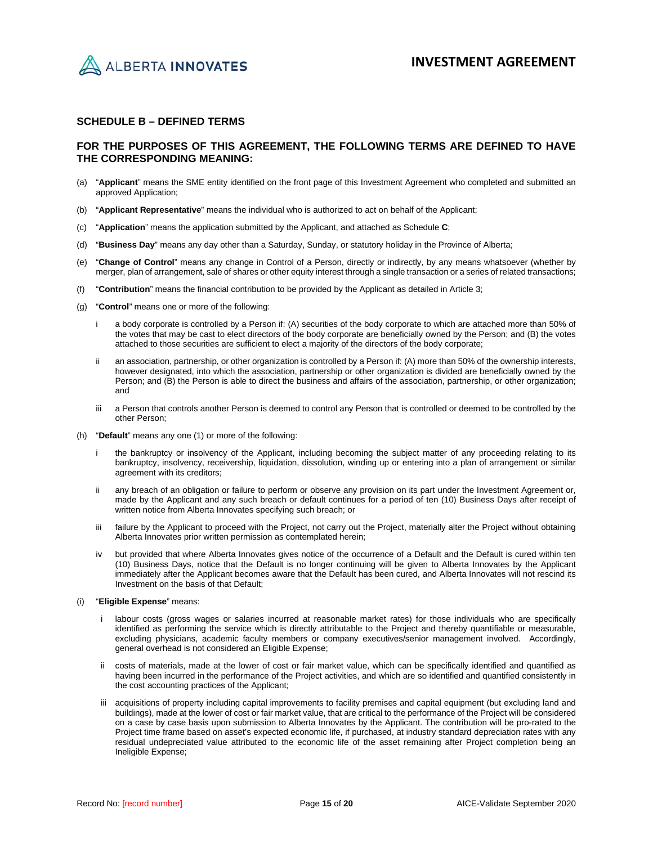

## **SCHEDULE B – DEFINED TERMS**

## **FOR THE PURPOSES OF THIS AGREEMENT, THE FOLLOWING TERMS ARE DEFINED TO HAVE THE CORRESPONDING MEANING:**

- (a) "**Applicant**" means the SME entity identified on the front page of this Investment Agreement who completed and submitted an approved Application;
- (b) "**Applicant Representative**" means the individual who is authorized to act on behalf of the Applicant;
- (c) "**Application**" means the application submitted by the Applicant, and attached as Schedule **C**;
- (d) "**Business Day**" means any day other than a Saturday, Sunday, or statutory holiday in the Province of Alberta;
- (e) "**Change of Control**" means any change in Control of a Person, directly or indirectly, by any means whatsoever (whether by merger, plan of arrangement, sale of shares or other equity interest through a single transaction or a series of related transactions;
- (f) "**Contribution**" means the financial contribution to be provided by the Applicant as detailed in Article 3;
- (g) "**Control**" means one or more of the following:
	- i a body corporate is controlled by a Person if: (A) securities of the body corporate to which are attached more than 50% of the votes that may be cast to elect directors of the body corporate are beneficially owned by the Person; and (B) the votes attached to those securities are sufficient to elect a majority of the directors of the body corporate;
	- ii an association, partnership, or other organization is controlled by a Person if: (A) more than 50% of the ownership interests, however designated, into which the association, partnership or other organization is divided are beneficially owned by the Person; and (B) the Person is able to direct the business and affairs of the association, partnership, or other organization; and
	- iii a Person that controls another Person is deemed to control any Person that is controlled or deemed to be controlled by the other Person;
- (h) "**Default**" means any one (1) or more of the following:
	- i the bankruptcy or insolvency of the Applicant, including becoming the subject matter of any proceeding relating to its bankruptcy, insolvency, receivership, liquidation, dissolution, winding up or entering into a plan of arrangement or similar agreement with its creditors;
	- ii any breach of an obligation or failure to perform or observe any provision on its part under the Investment Agreement or, made by the Applicant and any such breach or default continues for a period of ten (10) Business Days after receipt of written notice from Alberta Innovates specifying such breach; or
	- iii failure by the Applicant to proceed with the Project, not carry out the Project, materially alter the Project without obtaining Alberta Innovates prior written permission as contemplated herein;
	- iv but provided that where Alberta Innovates gives notice of the occurrence of a Default and the Default is cured within ten (10) Business Days, notice that the Default is no longer continuing will be given to Alberta Innovates by the Applicant immediately after the Applicant becomes aware that the Default has been cured, and Alberta Innovates will not rescind its Investment on the basis of that Default;
- (i) "**Eligible Expense**" means:
	- labour costs (gross wages or salaries incurred at reasonable market rates) for those individuals who are specifically identified as performing the service which is directly attributable to the Project and thereby quantifiable or measurable, excluding physicians, academic faculty members or company executives/senior management involved. Accordingly, general overhead is not considered an Eligible Expense;
	- ii costs of materials, made at the lower of cost or fair market value, which can be specifically identified and quantified as having been incurred in the performance of the Project activities, and which are so identified and quantified consistently in the cost accounting practices of the Applicant;
	- iii acquisitions of property including capital improvements to facility premises and capital equipment (but excluding land and buildings), made at the lower of cost or fair market value, that are critical to the performance of the Project will be considered on a case by case basis upon submission to Alberta Innovates by the Applicant. The contribution will be pro-rated to the Project time frame based on asset's expected economic life, if purchased, at industry standard depreciation rates with any residual undepreciated value attributed to the economic life of the asset remaining after Project completion being an Ineligible Expense;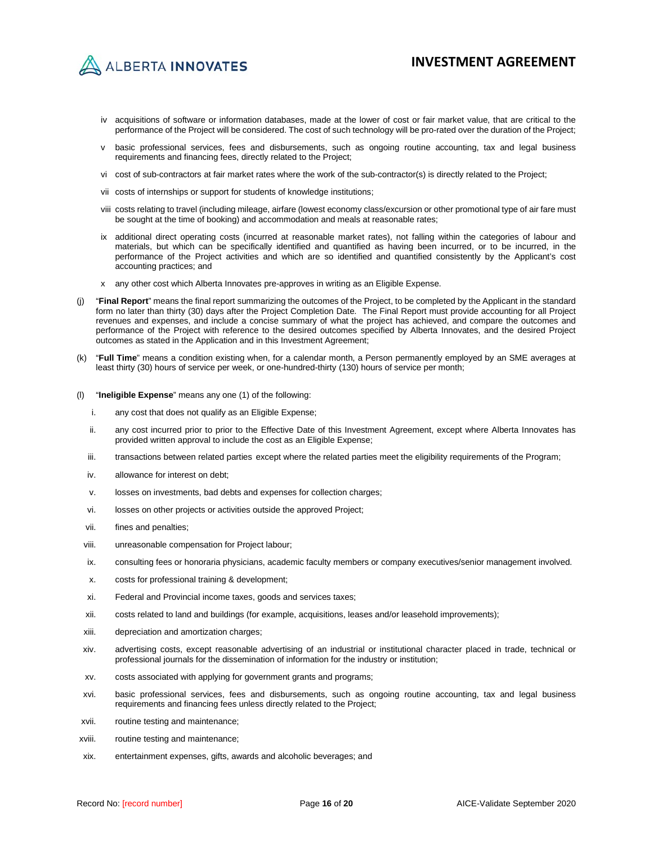ALBERTA INNOVATES

- iv acquisitions of software or information databases, made at the lower of cost or fair market value, that are critical to the performance of the Project will be considered. The cost of such technology will be pro-rated over the duration of the Project;
- v basic professional services, fees and disbursements, such as ongoing routine accounting, tax and legal business requirements and financing fees, directly related to the Project;
- vi cost of sub-contractors at fair market rates where the work of the sub-contractor(s) is directly related to the Project;
- vii costs of internships or support for students of knowledge institutions;
- viii costs relating to travel (including mileage, airfare (lowest economy class/excursion or other promotional type of air fare must be sought at the time of booking) and accommodation and meals at reasonable rates;
- ix additional direct operating costs (incurred at reasonable market rates), not falling within the categories of labour and materials, but which can be specifically identified and quantified as having been incurred, or to be incurred, in the performance of the Project activities and which are so identified and quantified consistently by the Applicant's cost accounting practices; and
- x any other cost which Alberta Innovates pre-approves in writing as an Eligible Expense.
- (j) "**Final Report**" means the final report summarizing the outcomes of the Project, to be completed by the Applicant in the standard form no later than thirty (30) days after the Project Completion Date. The Final Report must provide accounting for all Project revenues and expenses, and include a concise summary of what the project has achieved, and compare the outcomes and performance of the Project with reference to the desired outcomes specified by Alberta Innovates, and the desired Project outcomes as stated in the Application and in this Investment Agreement;
- (k) "**Full Time**" means a condition existing when, for a calendar month, a Person permanently employed by an SME averages at least thirty (30) hours of service per week, or one-hundred-thirty (130) hours of service per month;
- (l) "**Ineligible Expense**" means any one (1) of the following:
	- i. any cost that does not qualify as an Eligible Expense;
	- ii. any cost incurred prior to prior to the Effective Date of this Investment Agreement, except where Alberta Innovates has provided written approval to include the cost as an Eligible Expense;
	- iii. transactions between related parties except where the related parties meet the eligibility requirements of the Program;
	- iv. allowance for interest on debt;
	- v. losses on investments, bad debts and expenses for collection charges;
	- vi. losses on other projects or activities outside the approved Project;
	- vii. fines and penalties;
	- viii. unreasonable compensation for Project labour;
	- ix. consulting fees or honoraria physicians, academic faculty members or company executives/senior management involved.
	- x. costs for professional training & development;
	- xi. Federal and Provincial income taxes, goods and services taxes;
	- xii. costs related to land and buildings (for example, acquisitions, leases and/or leasehold improvements);
- xiii. depreciation and amortization charges;
- xiv. advertising costs, except reasonable advertising of an industrial or institutional character placed in trade, technical or professional journals for the dissemination of information for the industry or institution;
- xv. costs associated with applying for government grants and programs;
- xvi. basic professional services, fees and disbursements, such as ongoing routine accounting, tax and legal business requirements and financing fees unless directly related to the Project;
- xvii. routine testing and maintenance;
- xviii. routine testing and maintenance;
- xix. entertainment expenses, gifts, awards and alcoholic beverages; and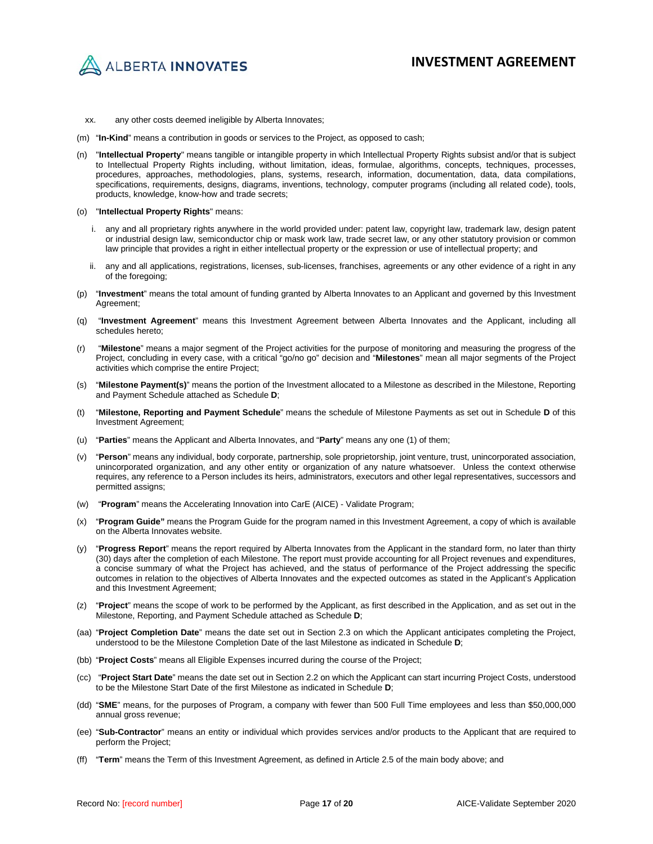

- xx. any other costs deemed ineligible by Alberta Innovates;
- (m) "**In-Kind**" means a contribution in goods or services to the Project, as opposed to cash;
- (n) "**Intellectual Property**" means tangible or intangible property in which Intellectual Property Rights subsist and/or that is subject to Intellectual Property Rights including, without limitation, ideas, formulae, algorithms, concepts, techniques, processes, procedures, approaches, methodologies, plans, systems, research, information, documentation, data, data compilations, specifications, requirements, designs, diagrams, inventions, technology, computer programs (including all related code), tools, products, knowledge, know-how and trade secrets;
- (o) "**Intellectual Property Rights**" means:
	- i. any and all proprietary rights anywhere in the world provided under: patent law, copyright law, trademark law, design patent or industrial design law, semiconductor chip or mask work law, trade secret law, or any other statutory provision or common law principle that provides a right in either intellectual property or the expression or use of intellectual property; and
	- ii. any and all applications, registrations, licenses, sub-licenses, franchises, agreements or any other evidence of a right in any of the foregoing;
- (p) "**Investment**" means the total amount of funding granted by Alberta Innovates to an Applicant and governed by this Investment Agreement;
- (q) "**Investment Agreement**" means this Investment Agreement between Alberta Innovates and the Applicant, including all schedules hereto;
- (r) "**Milestone**" means a major segment of the Project activities for the purpose of monitoring and measuring the progress of the Project, concluding in every case, with a critical "go/no go" decision and "**Milestones**" mean all major segments of the Project activities which comprise the entire Project;
- (s) "**Milestone Payment(s)**" means the portion of the Investment allocated to a Milestone as described in the Milestone, Reporting and Payment Schedule attached as Schedule **D**;
- (t) "**Milestone, Reporting and Payment Schedule**" means the schedule of Milestone Payments as set out in Schedule **D** of this Investment Agreement;
- (u) "**Parties**" means the Applicant and Alberta Innovates, and "**Party**" means any one (1) of them;
- (v) "**Person**" means any individual, body corporate, partnership, sole proprietorship, joint venture, trust, unincorporated association, unincorporated organization, and any other entity or organization of any nature whatsoever. Unless the context otherwise requires, any reference to a Person includes its heirs, administrators, executors and other legal representatives, successors and permitted assigns;
- (w) "**Program**" means the Accelerating Innovation into CarE (AICE) Validate Program;
- (x) "**Program Guide"** means the Program Guide for the program named in this Investment Agreement, a copy of which is available on the Alberta Innovates website.
- (y) "**Progress Report**" means the report required by Alberta Innovates from the Applicant in the standard form, no later than thirty (30) days after the completion of each Milestone. The report must provide accounting for all Project revenues and expenditures, a concise summary of what the Project has achieved, and the status of performance of the Project addressing the specific outcomes in relation to the objectives of Alberta Innovates and the expected outcomes as stated in the Applicant's Application and this Investment Agreement;
- (z) "**Project**" means the scope of work to be performed by the Applicant, as first described in the Application, and as set out in the Milestone, Reporting, and Payment Schedule attached as Schedule **D**;
- (aa) "**Project Completion Date**" means the date set out in Section 2.3 on which the Applicant anticipates completing the Project, understood to be the Milestone Completion Date of the last Milestone as indicated in Schedule **D**;
- (bb) "**Project Costs**" means all Eligible Expenses incurred during the course of the Project;
- (cc) "**Project Start Date**" means the date set out in Section 2.2 on which the Applicant can start incurring Project Costs, understood to be the Milestone Start Date of the first Milestone as indicated in Schedule **D**;
- (dd) "**SME**" means, for the purposes of Program, a company with fewer than 500 Full Time employees and less than \$50,000,000 annual gross revenue;
- (ee) "**Sub-Contractor**" means an entity or individual which provides services and/or products to the Applicant that are required to perform the Project;
- (ff) "**Term**" means the Term of this Investment Agreement, as defined in Article 2.5 of the main body above; and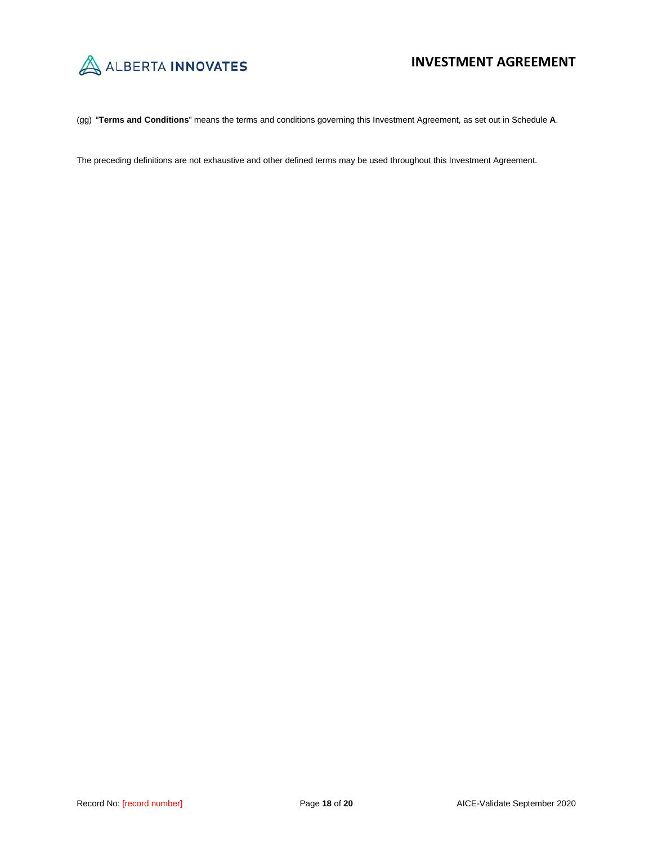

(gg) "**Terms and Conditions**" means the terms and conditions governing this Investment Agreement, as set out in Schedule **A**.

The preceding definitions are not exhaustive and other defined terms may be used throughout this Investment Agreement.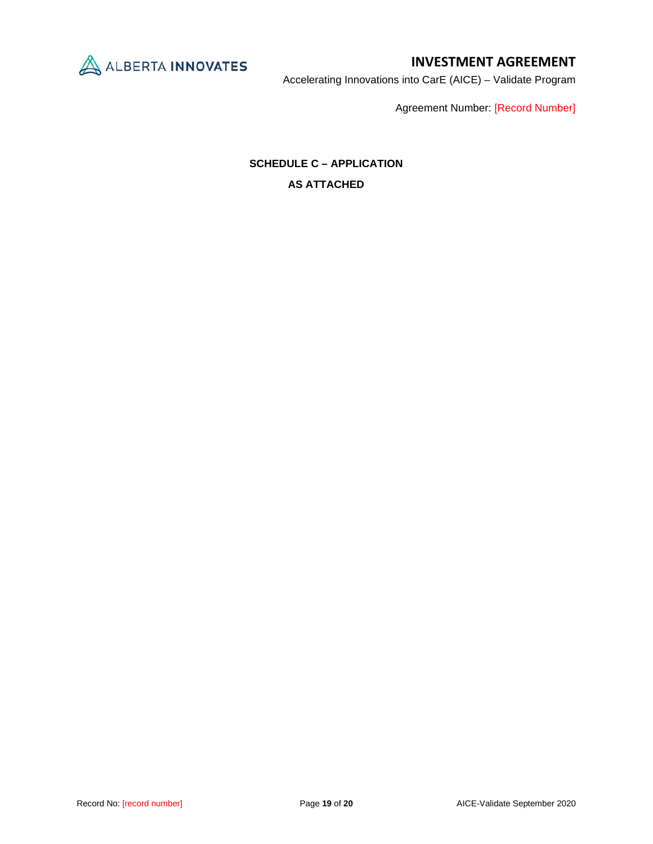

Accelerating Innovations into CarE (AICE) – Validate Program

Agreement Number: [Record Number]

# **SCHEDULE C – APPLICATION AS ATTACHED**